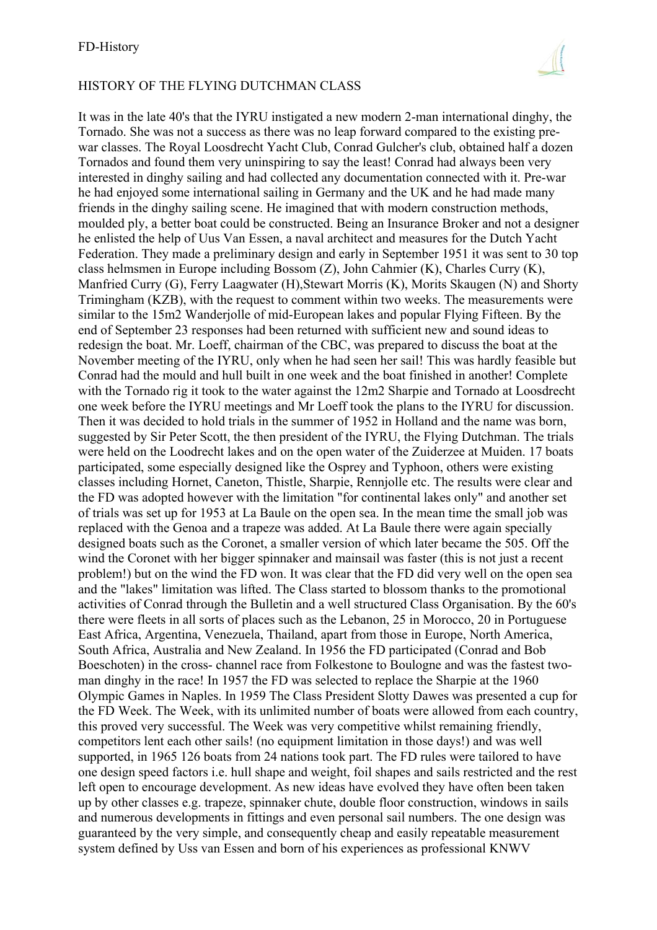## HISTORY OF THE FLYING DUTCHMAN CLASS

It was in the late 40's that the IYRU instigated a new modern 2-man international dinghy, the Tornado. She was not a success as there was no leap forward compared to the existing prewar classes. The Royal Loosdrecht Yacht Club, Conrad Gulcher's club, obtained half a dozen Tornados and found them very uninspiring to say the least! Conrad had always been very interested in dinghy sailing and had collected any documentation connected with it. Pre-war he had enjoyed some international sailing in Germany and the UK and he had made many friends in the dinghy sailing scene. He imagined that with modern construction methods, moulded ply, a better boat could be constructed. Being an Insurance Broker and not a designer he enlisted the help of Uus Van Essen, a naval architect and measures for the Dutch Yacht Federation. They made a preliminary design and early in September 1951 it was sent to 30 top class helmsmen in Europe including Bossom (Z), John Cahmier (K), Charles Curry (K), Manfried Curry (G), Ferry Laagwater (H),Stewart Morris (K), Morits Skaugen (N) and Shorty Trimingham (KZB), with the request to comment within two weeks. The measurements were similar to the 15m2 Wanderjolle of mid-European lakes and popular Flying Fifteen. By the end of September 23 responses had been returned with sufficient new and sound ideas to redesign the boat. Mr. Loeff, chairman of the CBC, was prepared to discuss the boat at the November meeting of the IYRU, only when he had seen her sail! This was hardly feasible but Conrad had the mould and hull built in one week and the boat finished in another! Complete with the Tornado rig it took to the water against the 12m2 Sharpie and Tornado at Loosdrecht one week before the IYRU meetings and Mr Loeff took the plans to the IYRU for discussion. Then it was decided to hold trials in the summer of 1952 in Holland and the name was born, suggested by Sir Peter Scott, the then president of the IYRU, the Flying Dutchman. The trials were held on the Loodrecht lakes and on the open water of the Zuiderzee at Muiden. 17 boats participated, some especially designed like the Osprey and Typhoon, others were existing classes including Hornet, Caneton, Thistle, Sharpie, Rennjolle etc. The results were clear and the FD was adopted however with the limitation "for continental lakes only" and another set of trials was set up for 1953 at La Baule on the open sea. In the mean time the small job was replaced with the Genoa and a trapeze was added. At La Baule there were again specially designed boats such as the Coronet, a smaller version of which later became the 505. Off the wind the Coronet with her bigger spinnaker and mainsail was faster (this is not just a recent problem!) but on the wind the FD won. It was clear that the FD did very well on the open sea and the "lakes" limitation was lifted. The Class started to blossom thanks to the promotional activities of Conrad through the Bulletin and a well structured Class Organisation. By the 60's there were fleets in all sorts of places such as the Lebanon, 25 in Morocco, 20 in Portuguese East Africa, Argentina, Venezuela, Thailand, apart from those in Europe, North America, South Africa, Australia and New Zealand. In 1956 the FD participated (Conrad and Bob Boeschoten) in the cross- channel race from Folkestone to Boulogne and was the fastest twoman dinghy in the race! In 1957 the FD was selected to replace the Sharpie at the 1960 Olympic Games in Naples. In 1959 The Class President Slotty Dawes was presented a cup for the FD Week. The Week, with its unlimited number of boats were allowed from each country, this proved very successful. The Week was very competitive whilst remaining friendly, competitors lent each other sails! (no equipment limitation in those days!) and was well supported, in 1965 126 boats from 24 nations took part. The FD rules were tailored to have one design speed factors i.e. hull shape and weight, foil shapes and sails restricted and the rest left open to encourage development. As new ideas have evolved they have often been taken up by other classes e.g. trapeze, spinnaker chute, double floor construction, windows in sails and numerous developments in fittings and even personal sail numbers. The one design was guaranteed by the very simple, and consequently cheap and easily repeatable measurement system defined by Uss van Essen and born of his experiences as professional KNWV